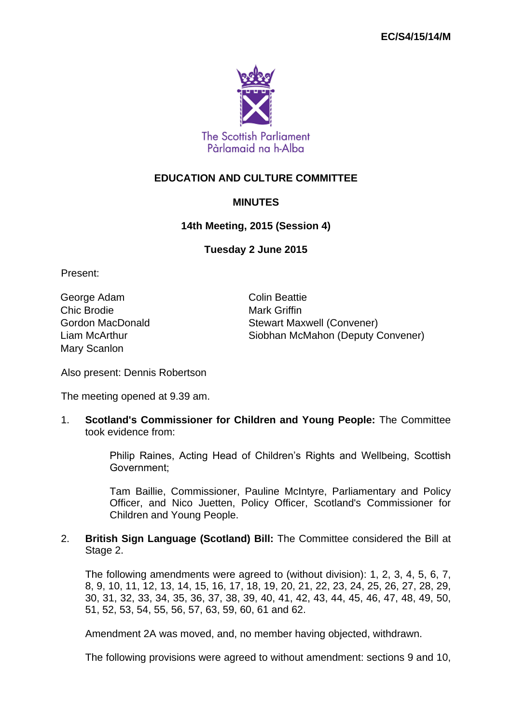

## **EDUCATION AND CULTURE COMMITTEE**

## **MINUTES**

## **14th Meeting, 2015 (Session 4)**

**Tuesday 2 June 2015**

Present:

George Adam **Colin Beattie** Chic Brodie **Mark Griffin** Mary Scanlon

Gordon MacDonald Stewart Maxwell (Convener) Liam McArthur Siobhan McMahon (Deputy Convener)

Also present: Dennis Robertson

The meeting opened at 9.39 am.

1. **Scotland's Commissioner for Children and Young People:** The Committee took evidence from:

> Philip Raines, Acting Head of Children's Rights and Wellbeing, Scottish Government;

> Tam Baillie, Commissioner, Pauline McIntyre, Parliamentary and Policy Officer, and Nico Juetten, Policy Officer, Scotland's Commissioner for Children and Young People.

## 2. **British Sign Language (Scotland) Bill:** The Committee considered the Bill at Stage 2.

The following amendments were agreed to (without division): 1, 2, 3, 4, 5, 6, 7, 8, 9, 10, 11, 12, 13, 14, 15, 16, 17, 18, 19, 20, 21, 22, 23, 24, 25, 26, 27, 28, 29, 30, 31, 32, 33, 34, 35, 36, 37, 38, 39, 40, 41, 42, 43, 44, 45, 46, 47, 48, 49, 50, 51, 52, 53, 54, 55, 56, 57, 63, 59, 60, 61 and 62.

Amendment 2A was moved, and, no member having objected, withdrawn.

The following provisions were agreed to without amendment: sections 9 and 10,